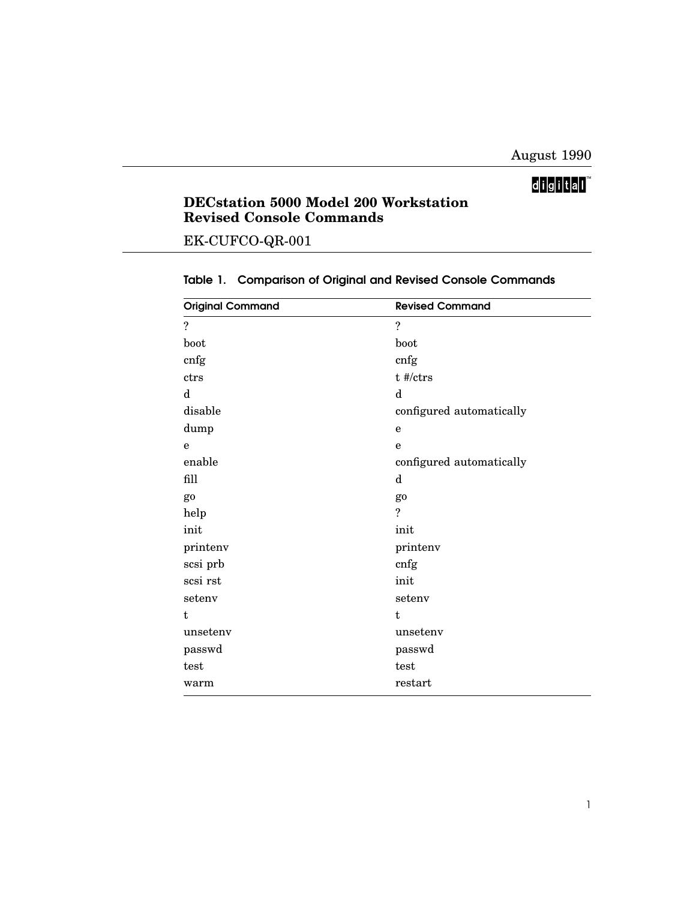## digital

## **DECstation 5000 Model 200 Workstation Revised Console Commands**

EK-CUFCO-QR-001

| <b>Original Command</b> | <b>Revised Command</b>   |
|-------------------------|--------------------------|
| $\tilde{?}$             | $\tilde{?}$              |
| boot                    | boot                     |
| cnfg                    | cnfg                     |
| ctrs                    | t #/ctrs                 |
| d                       | $\mathbf d$              |
| disable                 | configured automatically |
| dump                    | $\mathbf e$              |
| $\mathbf e$             | $\mathbf e$              |
| enable                  | configured automatically |
| fill                    | $\mathbf d$              |
| go                      | go                       |
| help                    | $\ddot{?}$               |
| init                    | init                     |
| printenv                | printenv                 |
| scsi prb                | cnfg                     |
| scsi rst                | init                     |
| setenv                  | setenv                   |
| t                       | t                        |
| unsetenv                | unsetenv                 |
| passwd                  | passwd                   |
| test                    | test                     |
| warm                    | restart                  |

## Table 1. Comparison of Original and Revised Console Commands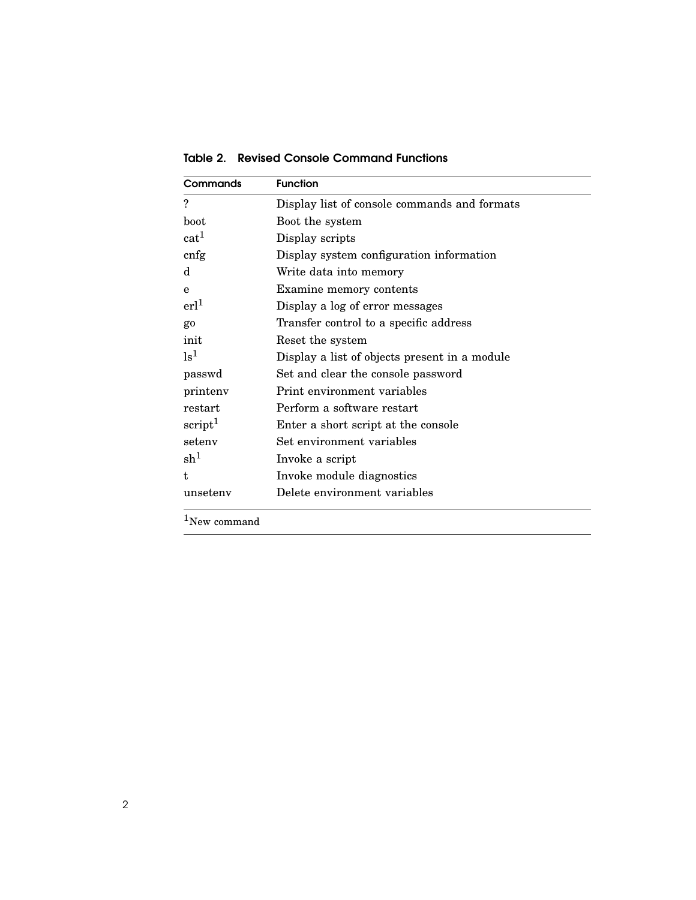Commands Function ? Display list of console commands and formats boot Boot the system  $cat<sup>1</sup>$  Display scripts cnfg Display system configuration information d Write data into memory e Examine memory contents erl<sup>1</sup> Display a log of error messages go Transfer control to a specific address init Reset the system  $\mathrm{ls}^1$  Display a list of objects present in a module passwd Set and clear the console password printenv Print environment variables restart Perform a software restart  $\text{script}^1$  Enter a short script at the console setenv Set environment variables  $sh<sup>1</sup>$ Invoke a script t Invoke module diagnostics unsetenv Delete environment variables

Table 2. Revised Console Command Functions

 $1$ New command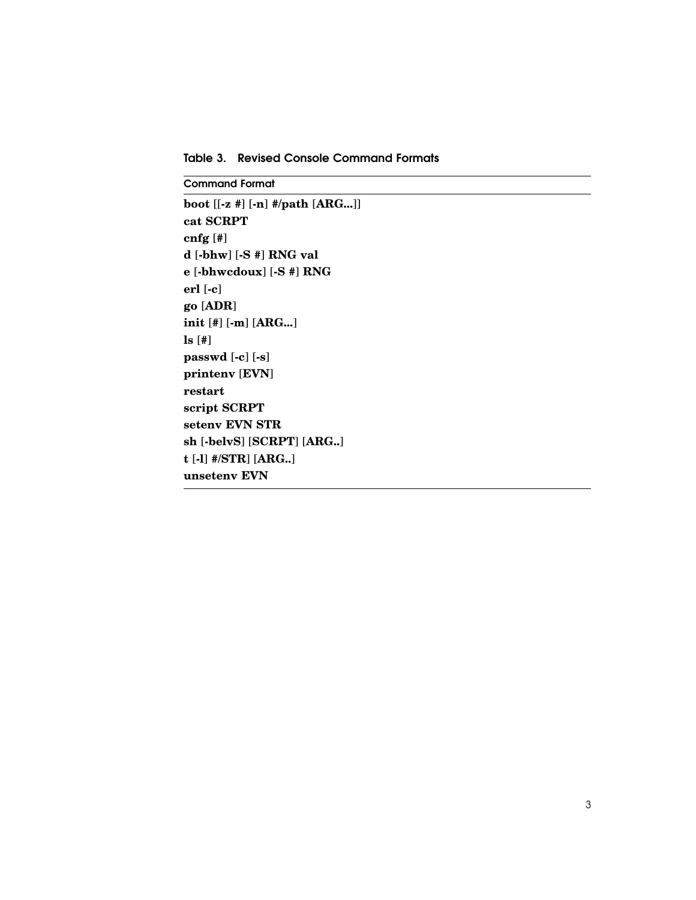Table 3. Revised Console Command Formats

**Command Format** 

```
boot [[-z #] [-n] #/path [ARG...]]
cat SCRPT
cnfg[#]
d [-bhw] [-S #] RNG val
e [-bhwcdoux] [-S #] RNG
erl [-c]
go [ADR]
init [#] [-m] [ARG...]
ls [#]passwd [-c] [-s]
printenv [EVN]
restart
script SCRPT
setenv EVN STR
sh [-belvS] [SCRPT] [ARG..]
t [-1] #/STR] [ARG..]
unsetenv EVN
```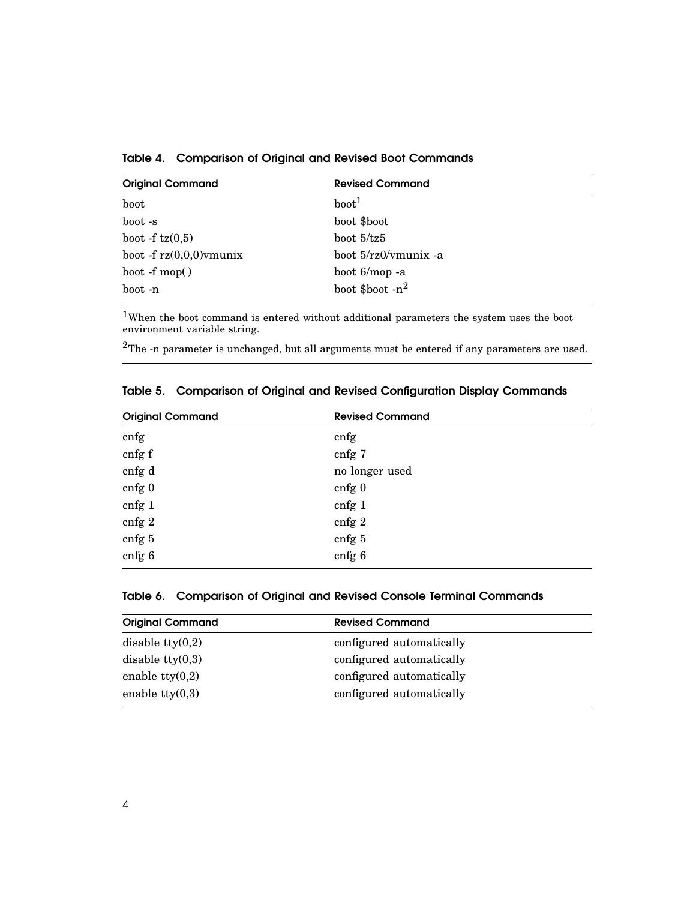| <b>Original Command</b>    | <b>Revised Command</b> |
|----------------------------|------------------------|
| boot                       | boot <sup>1</sup>      |
| boot -s                    | boot \$boot            |
| boot -f $tz(0,5)$          | boot $5/tz5$           |
| boot -f $rz(0,0,0)$ ymunix | boot 5/rz0/vmunix -a   |
| $boot - f \text{mop}()$    | boot 6/mop -a          |
| boot -n                    | boot \$boot $-n^2$     |

Table 4. Comparison of Original and Revised Boot Commands

<sup>1</sup>When the boot command is entered without additional parameters the system uses the boot environment variable string.

 $2$ The -n parameter is unchanged, but all arguments must be entered if any parameters are used.

| <b>Original Command</b> | <b>Revised Command</b>           |  |
|-------------------------|----------------------------------|--|
| cnfg                    | cnfg                             |  |
| cnfg f                  | cnfg 7                           |  |
| cnfg d                  | no longer used                   |  |
| cnfg 0                  | $cnfg$ <sup><math>0</math></sup> |  |
| cnfg 1                  | cnfg 1                           |  |
| cnfg 2                  | cnfg 2                           |  |
| cnfg 5                  | cnfg 5                           |  |
| cnfg 6                  | cnfg 6                           |  |

Table 5. Comparison of Original and Revised Configuration Display Commands

|  | Table 6. Comparison of Original and Revised Console Terminal Commands |  |  |  |  |  |
|--|-----------------------------------------------------------------------|--|--|--|--|--|
|--|-----------------------------------------------------------------------|--|--|--|--|--|

| <b>Original Command</b>   | <b>Revised Command</b>   |
|---------------------------|--------------------------|
| disable tty $(0,2)$       | configured automatically |
| disable $\text{tty}(0,3)$ | configured automatically |
| enable tty $(0,2)$        | configured automatically |
| enable tty $(0,3)$        | configured automatically |
|                           |                          |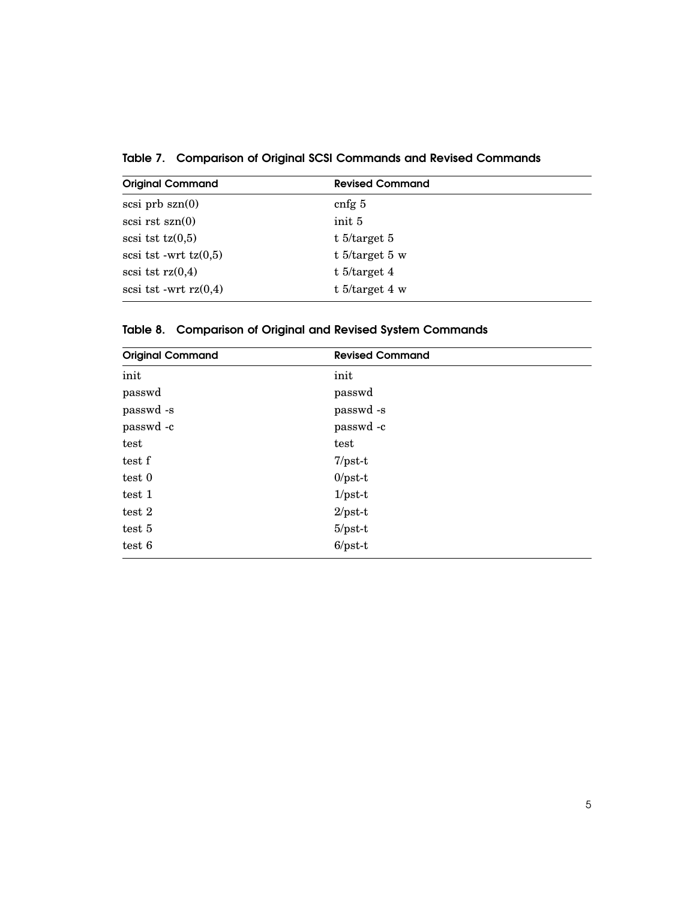Table 7. Comparison of Original SCSI Commands and Revised Commands

| <b>Original Command</b> | <b>Revised Command</b> |
|-------------------------|------------------------|
| $scsi$ prb $szn(0)$     | cnfg $5$               |
| $scsi$ rst $szn(0)$     | init 5                 |
| scsi tst $tz(0,5)$      | t $5$ /target 5        |
| scsi tst -wrt $tz(0,5)$ | t $5$ /target 5 w      |
| scsi tst $rz(0,4)$      | t $5$ /target 4        |
| scsi tst -wrt $rz(0,4)$ | t $5$ /target 4 w      |

Table 8. Comparison of Original and Revised System Commands

| <b>Original Command</b> | <b>Revised Command</b> |  |
|-------------------------|------------------------|--|
| init                    | init                   |  |
| passwd                  | passwd                 |  |
| passwd -s               | passwd -s              |  |
| passwd -c               | passwd -c              |  |
| test                    | test                   |  |
| test f                  | $7/pst-t$              |  |
| test 0                  | $0$ /pst-t             |  |
| test 1                  | $1/pst-t$              |  |
| test 2                  | $2$ /pst-t             |  |
| test 5                  | $5$ /pst-t             |  |
| test 6                  | $6$ /pst-t             |  |